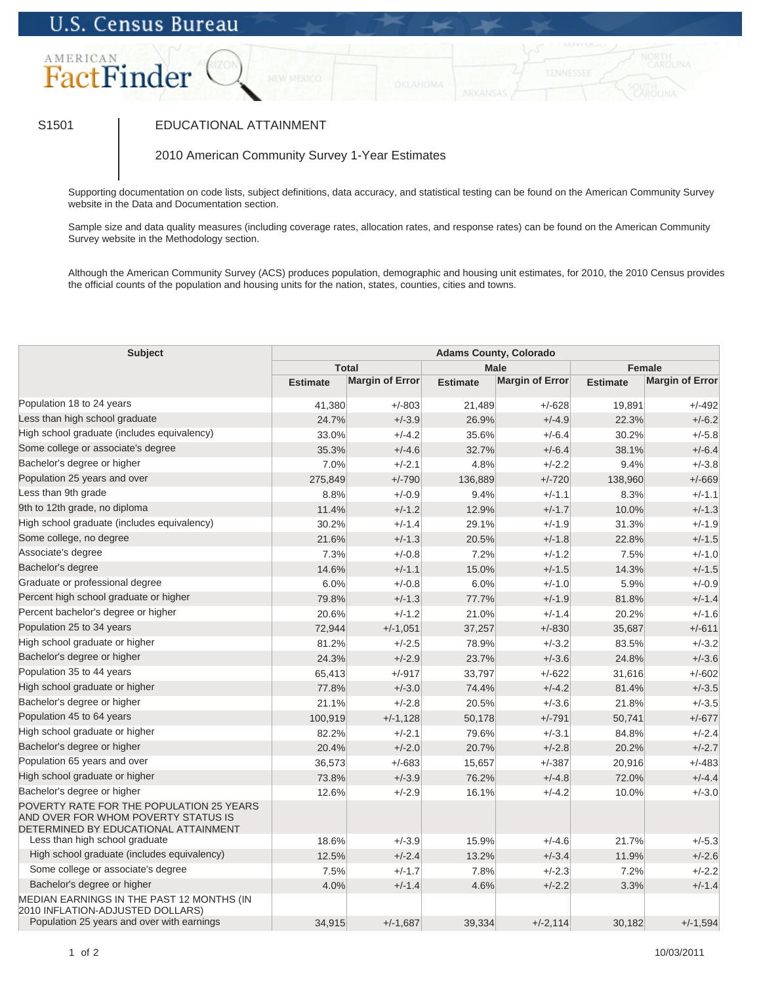# **U.S. Census Bureau**



## S1501 | EDUCATIONAL ATTAINMENT

### 2010 American Community Survey 1-Year Estimates

Supporting documentation on code lists, subject definitions, data accuracy, and statistical testing can be found on the American Community Survey website in the Data and Documentation section.

Sample size and data quality measures (including coverage rates, allocation rates, and response rates) can be found on the American Community Survey website in the Methodology section.

Although the American Community Survey (ACS) produces population, demographic and housing unit estimates, for 2010, the 2010 Census provides the official counts of the population and housing units for the nation, states, counties, cities and towns.

| <b>Subject</b>                                                                                                                                            | <b>Adams County, Colorado</b> |                        |                 |                        |                 |                        |  |  |
|-----------------------------------------------------------------------------------------------------------------------------------------------------------|-------------------------------|------------------------|-----------------|------------------------|-----------------|------------------------|--|--|
|                                                                                                                                                           | <b>Total</b>                  |                        | <b>Male</b>     |                        | <b>Female</b>   |                        |  |  |
|                                                                                                                                                           | <b>Estimate</b>               | <b>Margin of Error</b> | <b>Estimate</b> | <b>Margin of Error</b> | <b>Estimate</b> | <b>Margin of Error</b> |  |  |
| Population 18 to 24 years                                                                                                                                 | 41,380                        | $+/-803$               | 21,489          | $+/-628$               | 19,891          | $+/-492$               |  |  |
| Less than high school graduate                                                                                                                            | 24.7%                         | $+/-3.9$               | 26.9%           | $+/-4.9$               | 22.3%           | $+/-6.2$               |  |  |
| High school graduate (includes equivalency)                                                                                                               | 33.0%                         | $+/-4.2$               | 35.6%           | $+/-6.4$               | 30.2%           | $+/-5.8$               |  |  |
| Some college or associate's degree                                                                                                                        | 35.3%                         | $+/-4.6$               | 32.7%           | $+/-6.4$               | 38.1%           | $+/-6.4$               |  |  |
| Bachelor's degree or higher                                                                                                                               | 7.0%                          | $+/-2.1$               | 4.8%            | $+/-2.2$               | 9.4%            | $+/-3.8$               |  |  |
| Population 25 years and over                                                                                                                              | 275,849                       | $+/-790$               | 136,889         | $+/-720$               | 138,960         | $+/-669$               |  |  |
| Less than 9th grade                                                                                                                                       | 8.8%                          | $+/-0.9$               | 9.4%            | $+/-1.1$               | 8.3%            | $+/-1.1$               |  |  |
| 9th to 12th grade, no diploma                                                                                                                             | 11.4%                         | $+/-1.2$               | 12.9%           | $+/-1.7$               | 10.0%           | $+/-1.3$               |  |  |
| High school graduate (includes equivalency)                                                                                                               | 30.2%                         | $+/-1.4$               | 29.1%           | $+/-1.9$               | 31.3%           | $+/-1.9$               |  |  |
| Some college, no degree                                                                                                                                   | 21.6%                         | $+/-1.3$               | 20.5%           | $+/-1.8$               | 22.8%           | $+/-1.5$               |  |  |
| Associate's degree                                                                                                                                        | 7.3%                          | $+/-0.8$               | 7.2%            | $+/-1.2$               | 7.5%            | $+/-1.0$               |  |  |
| Bachelor's degree                                                                                                                                         | 14.6%                         | $+/-1.1$               | 15.0%           | $+/-1.5$               | 14.3%           | $+/-1.5$               |  |  |
| Graduate or professional degree                                                                                                                           | 6.0%                          | $+/-0.8$               | 6.0%            | $+/-1.0$               | 5.9%            | $+/-0.9$               |  |  |
| Percent high school graduate or higher                                                                                                                    | 79.8%                         | $+/-1.3$               | 77.7%           | $+/-1.9$               | 81.8%           | $+/-1.4$               |  |  |
| Percent bachelor's degree or higher                                                                                                                       | 20.6%                         | $+/-1.2$               | 21.0%           | $+/-1.4$               | 20.2%           | $+/-1.6$               |  |  |
| Population 25 to 34 years                                                                                                                                 | 72,944                        | $+/-1,051$             | 37,257          | $+/-830$               | 35,687          | $+/-611$               |  |  |
| High school graduate or higher                                                                                                                            | 81.2%                         | $+/-2.5$               | 78.9%           | $+/-3.2$               | 83.5%           | $+/-3.2$               |  |  |
| Bachelor's degree or higher                                                                                                                               | 24.3%                         | $+/-2.9$               | 23.7%           | $+/-3.6$               | 24.8%           | $+/-3.6$               |  |  |
| Population 35 to 44 years                                                                                                                                 | 65,413                        | $+/-917$               | 33,797          | $+/-622$               | 31,616          | $+/-602$               |  |  |
| High school graduate or higher                                                                                                                            | 77.8%                         | $+/-3.0$               | 74.4%           | $+/-4.2$               | 81.4%           | $+/-3.5$               |  |  |
| Bachelor's degree or higher                                                                                                                               | 21.1%                         | $+/-2.8$               | 20.5%           | $+/-3.6$               | 21.8%           | $+/-3.5$               |  |  |
| Population 45 to 64 years                                                                                                                                 | 100,919                       | $+/-1,128$             | 50,178          | $+/-791$               | 50,741          | $+/-677$               |  |  |
| High school graduate or higher                                                                                                                            | 82.2%                         | $+/-2.1$               | 79.6%           | $+/-3.1$               | 84.8%           | $+/-2.4$               |  |  |
| Bachelor's degree or higher                                                                                                                               | 20.4%                         | $+/-2.0$               | 20.7%           | $+/-2.8$               | 20.2%           | $+/-2.7$               |  |  |
| Population 65 years and over                                                                                                                              | 36,573                        | $+/-683$               | 15,657          | $+/-387$               | 20,916          | $+/-483$               |  |  |
| High school graduate or higher                                                                                                                            | 73.8%                         | $+/-3.9$               | 76.2%           | $+/-4.8$               | 72.0%           | $+/-4.4$               |  |  |
| Bachelor's degree or higher                                                                                                                               | 12.6%                         | $+/-2.9$               | 16.1%           | $+/-4.2$               | 10.0%           | $+/-3.0$               |  |  |
| POVERTY RATE FOR THE POPULATION 25 YEARS<br>AND OVER FOR WHOM POVERTY STATUS IS<br>DETERMINED BY EDUCATIONAL ATTAINMENT<br>Less than high school graduate | 18.6%                         | $+/-3.9$               | 15.9%           | $+/-4.6$               | 21.7%           | $+/-5.3$               |  |  |
| High school graduate (includes equivalency)                                                                                                               | 12.5%                         | $+/-2.4$               | 13.2%           | $+/-3.4$               | 11.9%           | $+/-2.6$               |  |  |
| Some college or associate's degree                                                                                                                        | 7.5%                          | $+/-1.7$               | 7.8%            | $+/-2.3$               | 7.2%            | $+/-2.2$               |  |  |
| Bachelor's degree or higher                                                                                                                               | 4.0%                          | $+/-1.4$               | 4.6%            | $+/-2.2$               | 3.3%            | $+/-1.4$               |  |  |
| MEDIAN EARNINGS IN THE PAST 12 MONTHS (IN<br>2010 INFLATION-ADJUSTED DOLLARS)                                                                             |                               |                        |                 |                        |                 |                        |  |  |
| Population 25 years and over with earnings                                                                                                                | 34,915                        | $+/-1.687$             | 39,334          | $+/-2,114$             | 30,182          | $+/-1,594$             |  |  |